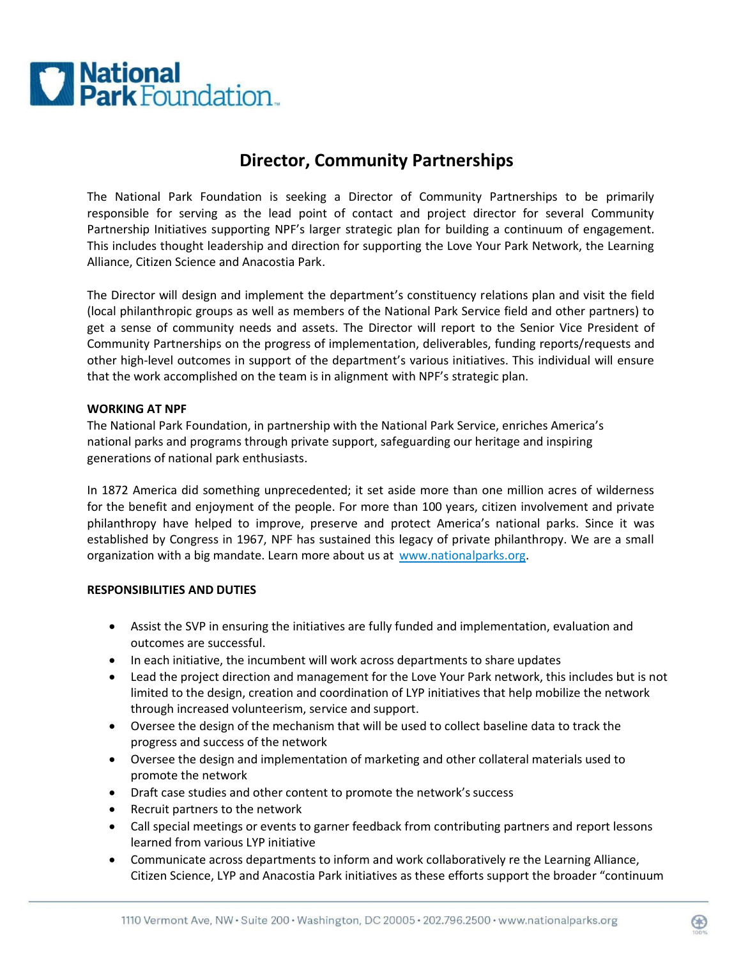

# **Director, Community Partnerships**

The National Park Foundation is seeking a Director of Community Partnerships to be primarily responsible for serving as the lead point of contact and project director for several Community Partnership Initiatives supporting NPF's larger strategic plan for building a continuum of engagement. This includes thought leadership and direction for supporting the Love Your Park Network, the Learning Alliance, Citizen Science and Anacostia Park.

The Director will design and implement the department's constituency relations plan and visit the field (local philanthropic groups as well as members of the National Park Service field and other partners) to get a sense of community needs and assets. The Director will report to the Senior Vice President of Community Partnerships on the progress of implementation, deliverables, funding reports/requests and other high-level outcomes in support of the department's various initiatives. This individual will ensure that the work accomplished on the team is in alignment with NPF's strategic plan.

#### **WORKING AT NPF**

The National Park Foundation, in partnership with the National Park Service, enriches America's national parks and programs through private support, safeguarding our heritage and inspiring generations of national park enthusiasts.

In 1872 America did something unprecedented; it set aside more than one million acres of wilderness for the benefit and enjoyment of the people. For more than 100 years, citizen involvement and private philanthropy have helped to improve, preserve and protect America's national parks. Since it was established by Congress in 1967, NPF has sustained this legacy of private philanthropy. We are a small organization with a big mandate. Learn more about us at [www.nationalparks.org.](http://www.nationalparks.org/)

## **RESPONSIBILITIES AND DUTIES**

- Assist the SVP in ensuring the initiatives are fully funded and implementation, evaluation and outcomes are successful.
- In each initiative, the incumbent will work across departments to share updates
- Lead the project direction and management for the Love Your Park network, this includes but is not limited to the design, creation and coordination of LYP initiatives that help mobilize the network through increased volunteerism, service and support.
- Oversee the design of the mechanism that will be used to collect baseline data to track the progress and success of the network
- Oversee the design and implementation of marketing and other collateral materials used to promote the network
- Draft case studies and other content to promote the network's success
- Recruit partners to the network
- Call special meetings or events to garner feedback from contributing partners and report lessons learned from various LYP initiative
- Communicate across departments to inform and work collaboratively re the Learning Alliance, Citizen Science, LYP and Anacostia Park initiatives as these efforts support the broader "continuum